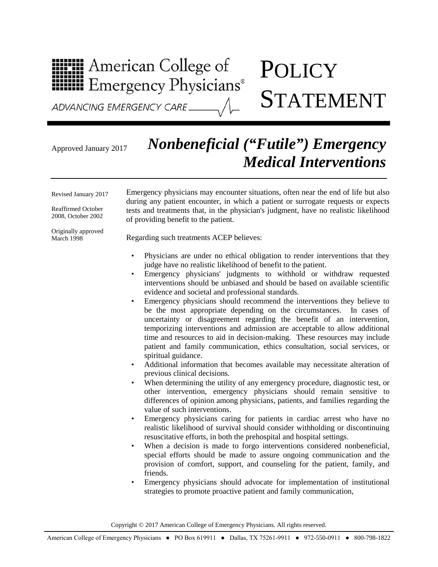

## **POLICY** STATEMENT

## Approved January 2017 *Nonbeneficial ("Futile") Emergency Medical Interventions*

Revised January 2017

Reaffirmed October 2008, October 2002

Originally approved March 1998

Emergency physicians may encounter situations, often near the end of life but also during any patient encounter, in which a patient or surrogate requests or expects tests and treatments that, in the physician's judgment, have no realistic likelihood of providing benefit to the patient.

Regarding such treatments ACEP believes:

- Physicians are under no ethical obligation to render interventions that they judge have no realistic likelihood of benefit to the patient.
- Emergency physicians' judgments to withhold or withdraw requested interventions should be unbiased and should be based on available scientific evidence and societal and professional standards.
- Emergency physicians should recommend the interventions they believe to be the most appropriate depending on the circumstances. In cases of uncertainty or disagreement regarding the benefit of an intervention, temporizing interventions and admission are acceptable to allow additional time and resources to aid in decision-making. These resources may include patient and family communication, ethics consultation, social services, or spiritual guidance.
- Additional information that becomes available may necessitate alteration of previous clinical decisions.
- When determining the utility of any emergency procedure, diagnostic test, or other intervention, emergency physicians should remain sensitive to differences of opinion among physicians, patients, and families regarding the value of such interventions.
- Emergency physicians caring for patients in cardiac arrest who have no realistic likelihood of survival should consider withholding or discontinuing resuscitative efforts, in both the prehospital and hospital settings.
- When a decision is made to forgo interventions considered nonbeneficial, special efforts should be made to assure ongoing communication and the provision of comfort, support, and counseling for the patient, family, and friends.
- Emergency physicians should advocate for implementation of institutional strategies to promote proactive patient and family communication,

Copyright © 2017 American College of Emergency Physicians. All rights reserved.